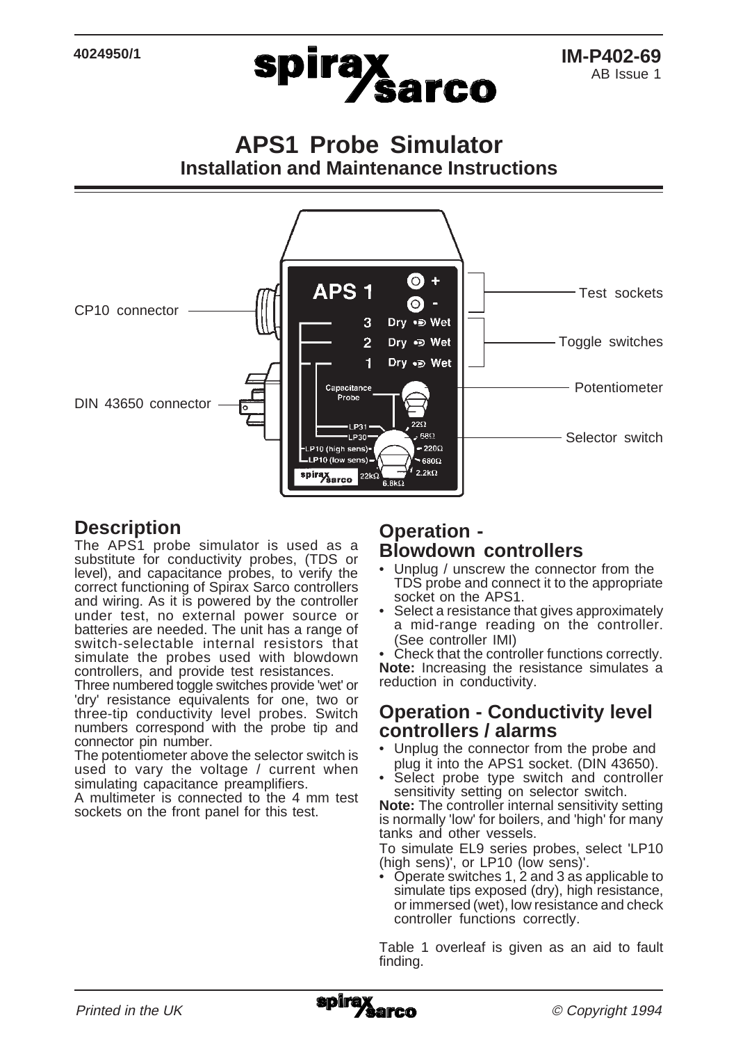

**APS1 Probe Simulator Installation and Maintenance Instructions**



### **Description**

The APS1 probe simulator is used as a substitute for conductivity probes, (TDS or level), and capacitance probes, to verify the correct functioning of Spirax Sarco controllers and wiring. As it is powered by the controller under test, no external power source or batteries are needed. The unit has a range of switch-selectable internal resistors that simulate the probes used with blowdown controllers, and provide test resistances.

Three numbered toggle switches provide 'wet' or 'dry' resistance equivalents for one, two or three-tip conductivity level probes. Switch numbers correspond with the probe tip and connector pin number.

The potentiometer above the selector switch is used to vary the voltage / current when simulating capacitance preamplifiers.

A multimeter is connected to the 4 mm test sockets on the front panel for this test.

#### **Operation - Blowdown controllers**

- Unplug / unscrew the connector from the TDS probe and connect it to the appropriate socket on the APS1.
- Select a resistance that gives approximately a mid-range reading on the controller. (See controller IMI)

Check that the controller functions correctly. **Note:** Increasing the resistance simulates a reduction in conductivity.

#### **Operation - Conductivity level controllers / alarms**

- Unplug the connector from the probe and plug it into the APS1 socket. (DIN 43650).
- Select probe type switch and controller sensitivity setting on selector switch.

**Note:** The controller internal sensitivity setting is normally 'low' for boilers, and 'high' for many tanks and other vessels.

To simulate EL9 series probes, select 'LP10 (high sens)', or LP10 (low sens)'.

• Operate switches 1, 2 and 3 as applicable to simulate tips exposed (dry), high resistance, or immersed (wet), low resistance and check controller functions correctly.

Table 1 overleaf is given as an aid to fault finding.